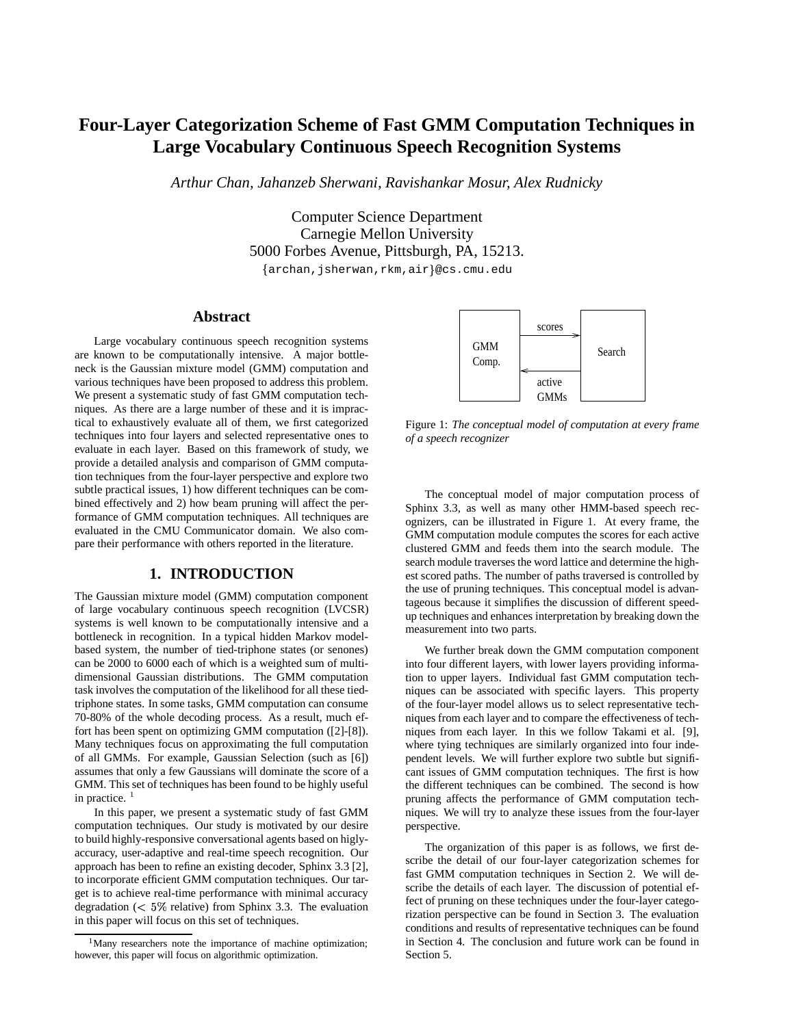# **Four-Layer Categorization Scheme of Fast GMM Computation Techniques in Large Vocabulary Continuous Speech Recognition Systems**

*Arthur Chan, Jahanzeb Sherwani, Ravishankar Mosur, Alex Rudnicky*

Computer Science Department Carnegie Mellon University 5000 Forbes Avenue, Pittsburgh, PA, 15213. archan,jsherwan,rkm,air @cs.cmu.edu

# **Abstract**

Large vocabulary continuous speech recognition systems are known to be computationally intensive. A major bottleneck is the Gaussian mixture model (GMM) computation and various techniques have been proposed to address this problem. We present a systematic study of fast GMM computation techniques. As there are a large number of these and it is impractical to exhaustively evaluate all of them, we first categorized techniques into four layers and selected representative ones to evaluate in each layer. Based on this framework of study, we provide a detailed analysis and comparison of GMM computation techniques from the four-layer perspective and explore two subtle practical issues, 1) how different techniques can be combined effectively and 2) how beam pruning will affect the performance of GMM computation techniques. All techniques are evaluated in the CMU Communicator domain. We also compare their performance with others reported in the literature.

## **1. INTRODUCTION**

The Gaussian mixture model (GMM) computation component of large vocabulary continuous speech recognition (LVCSR) systems is well known to be computationally intensive and a bottleneck in recognition. In a typical hidden Markov modelbased system, the number of tied-triphone states (or senones) can be 2000 to 6000 each of which is a weighted sum of multidimensional Gaussian distributions. The GMM computation task involves the computation of the likelihood for all these tiedtriphone states. In some tasks, GMM computation can consume 70-80% of the whole decoding process. As a result, much effort has been spent on optimizing GMM computation ([2]-[8]). Many techniques focus on approximating the full computation of all GMMs. For example, Gaussian Selection (such as [6]) assumes that only a few Gaussians will dominate the score of a GMM. This set of techniques has been found to be highly useful in practice. <sup>1</sup>

In this paper, we present a systematic study of fast GMM computation techniques. Our study is motivated by our desire to build highly-responsive conversational agents based on higlyaccuracy, user-adaptive and real-time speech recognition. Our approach has been to refine an existing decoder, Sphinx 3.3 [2], to incorporate efficient GMM computation techniques. Our target is to achieve real-time performance with minimal accuracy degradation ( $< 5\%$  relative) from Sphinx 3.3. The evaluation in this paper will focus on this set of techniques.



Figure 1: *The conceptual model of computation at every frame of a speech recognizer*

The conceptual model of major computation process of Sphinx 3.3, as well as many other HMM-based speech recognizers, can be illustrated in Figure 1. At every frame, the GMM computation module computes the scores for each active clustered GMM and feeds them into the search module. The search module traverses the word lattice and determine the highest scored paths. The number of paths traversed is controlled by the use of pruning techniques. This conceptual model is advantageous because it simplifies the discussion of different speedup techniques and enhances interpretation by breaking down the measurement into two parts.

We further break down the GMM computation component into four different layers, with lower layers providing information to upper layers. Individual fast GMM computation techniques can be associated with specific layers. This property of the four-layer model allows us to select representative techniques from each layer and to compare the effectiveness of techniques from each layer. In this we follow Takami et al. [9], where tying techniques are similarly organized into four independent levels. We will further explore two subtle but significant issues of GMM computation techniques. The first is how the different techniques can be combined. The second is how pruning affects the performance of GMM computation techniques. We will try to analyze these issues from the four-layer perspective.

The organization of this paper is as follows, we first describe the detail of our four-layer categorization schemes for fast GMM computation techniques in Section 2. We will describe the details of each layer. The discussion of potential effect of pruning on these techniques under the four-layer categorization perspective can be found in Section 3. The evaluation conditions and results of representative techniques can be found in Section 4. The conclusion and future work can be found in Section 5.

<sup>&</sup>lt;sup>1</sup>Many researchers note the importance of machine optimization; however, this paper will focus on algorithmic optimization.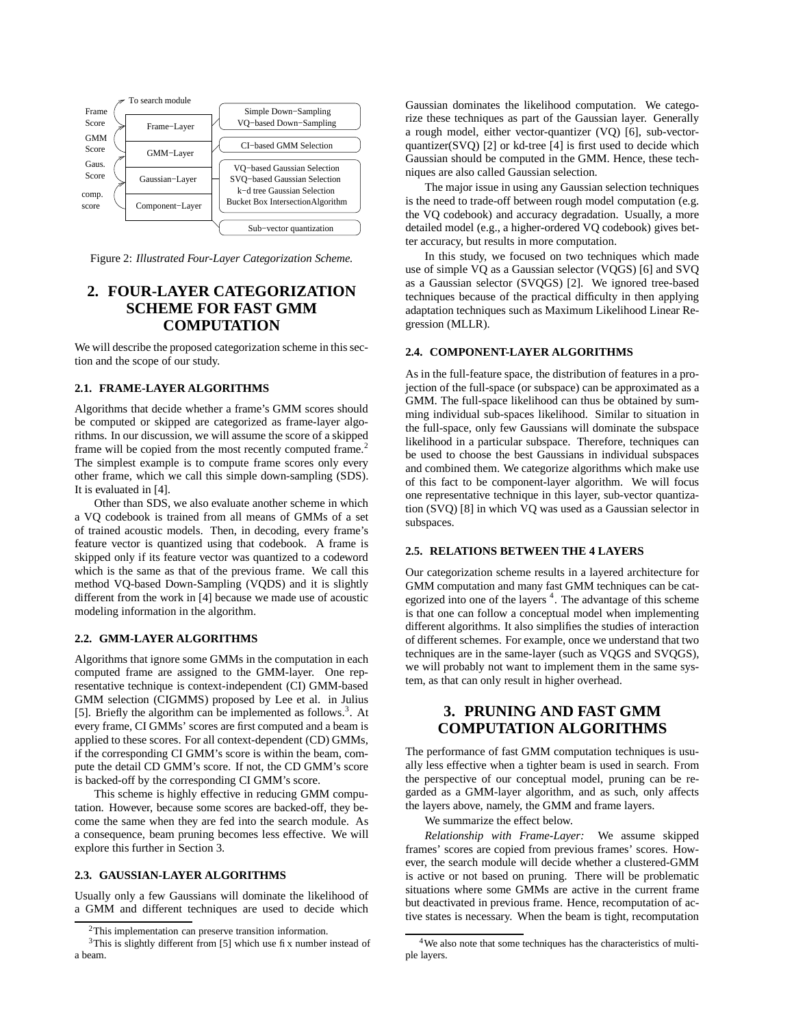

Figure 2: *Illustrated Four-Layer Categorization Scheme.*

# **2. FOUR-LAYER CATEGORIZATION SCHEME FOR FAST GMM COMPUTATION**

We will describe the proposed categorization scheme in this section and the scope of our study.

#### **2.1. FRAME-LAYER ALGORITHMS**

Algorithms that decide whether a frame's GMM scores should be computed or skipped are categorized as frame-layer algorithms. In our discussion, we will assume the score of a skipped frame will be copied from the most recently computed frame.<sup>2</sup> The simplest example is to compute frame scores only every other frame, which we call this simple down-sampling (SDS). It is evaluated in [4].

Other than SDS, we also evaluate another scheme in which a VQ codebook is trained from all means of GMMs of a set of trained acoustic models. Then, in decoding, every frame's feature vector is quantized using that codebook. A frame is skipped only if its feature vector was quantized to a codeword which is the same as that of the previous frame. We call this method VQ-based Down-Sampling (VQDS) and it is slightly different from the work in [4] because we made use of acoustic modeling information in the algorithm.

#### **2.2. GMM-LAYER ALGORITHMS**

Algorithms that ignore some GMMs in the computation in each computed frame are assigned to the GMM-layer. One representative technique is context-independent (CI) GMM-based GMM selection (CIGMMS) proposed by Lee et al. in Julius [5]. Briefly the algorithm can be implemented as follows.<sup>3</sup>. At every frame, CI GMMs' scores are first computed and a beam is applied to these scores. For all context-dependent (CD) GMMs, if the corresponding CI GMM's score is within the beam, compute the detail CD GMM's score. If not, the CD GMM's score is backed-off by the corresponding CI GMM's score.

This scheme is highly effective in reducing GMM computation. However, because some scores are backed-off, they become the same when they are fed into the search module. As a consequence, beam pruning becomes less effective. We will explore this further in Section 3.

#### **2.3. GAUSSIAN-LAYER ALGORITHMS**

Usually only a few Gaussians will dominate the likelihood of a GMM and different techniques are used to decide which Gaussian dominates the likelihood computation. We categorize these techniques as part of the Gaussian layer. Generally a rough model, either vector-quantizer (VQ) [6], sub-vectorquantizer( $SVO$ ) [2] or kd-tree [4] is first used to decide which Gaussian should be computed in the GMM. Hence, these techniques are also called Gaussian selection.

The major issue in using any Gaussian selection techniques is the need to trade-off between rough model computation (e.g. the VQ codebook) and accuracy degradation. Usually, a more detailed model (e.g., a higher-ordered VQ codebook) gives better accuracy, but results in more computation.

In this study, we focused on two techniques which made use of simple VQ as a Gaussian selector (VQGS) [6] and SVQ as a Gaussian selector (SVQGS) [2]. We ignored tree-based techniques because of the practical difficulty in then applying adaptation techniques such as Maximum Likelihood Linear Regression (MLLR).

#### **2.4. COMPONENT-LAYER ALGORITHMS**

As in the full-feature space, the distribution of features in a projection of the full-space (or subspace) can be approximated as a GMM. The full-space likelihood can thus be obtained by summing individual sub-spaces likelihood. Similar to situation in the full-space, only few Gaussians will dominate the subspace likelihood in a particular subspace. Therefore, techniques can be used to choose the best Gaussians in individual subspaces and combined them. We categorize algorithms which make use of this fact to be component-layer algorithm. We will focus one representative technique in this layer, sub-vector quantization (SVQ) [8] in which VQ was used as a Gaussian selector in subspaces.

#### **2.5. RELATIONS BETWEEN THE 4 LAYERS**

Our categorization scheme results in a layered architecture for GMM computation and many fast GMM techniques can be categorized into one of the layers<sup>4</sup>. The advantage of this scheme is that one can follow a conceptual model when implementing different algorithms. It also simplifies the studies of interaction of different schemes. For example, once we understand that two techniques are in the same-layer (such as VQGS and SVQGS), we will probably not want to implement them in the same system, as that can only result in higher overhead.

# **3. PRUNING AND FAST GMM COMPUTATION ALGORITHMS**

The performance of fast GMM computation techniques is usually less effective when a tighter beam is used in search. From the perspective of our conceptual model, pruning can be regarded as a GMM-layer algorithm, and as such, only affects the layers above, namely, the GMM and frame layers.

We summarize the effect below.

*Relationship with Frame-Layer:* We assume skipped frames' scores are copied from previous frames' scores. However, the search module will decide whether a clustered-GMM is active or not based on pruning. There will be problematic situations where some GMMs are active in the current frame but deactivated in previous frame. Hence, recomputation of active states is necessary. When the beam is tight, recomputation

<sup>&</sup>lt;sup>2</sup>This implementation can preserve transition information.

 $3$ This is slightly different from [5] which use fix number instead of a beam.

<sup>&</sup>lt;sup>4</sup>We also note that some techniques has the characteristics of multiple layers.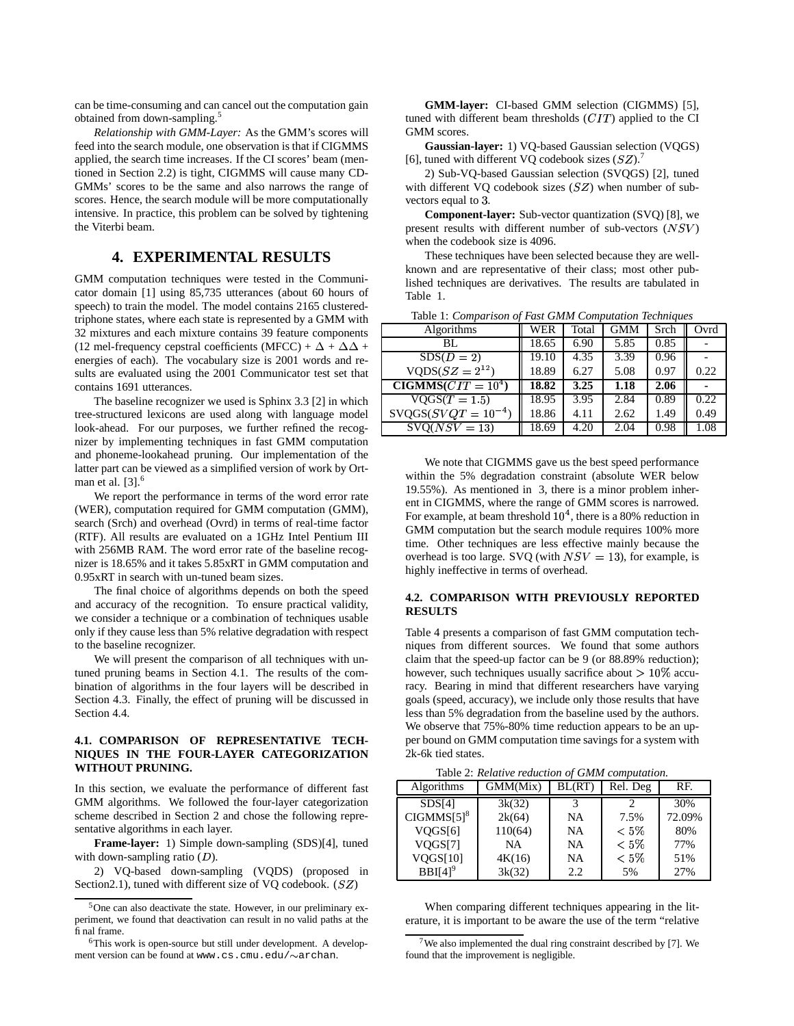can be time-consuming and can cancel out the computation gain obtained from down-sampling.<sup>5</sup>

*Relationship with GMM-Layer:* As the GMM's scores will feed into the search module, one observation is that if CIGMMS applied, the search time increases. If the CI scores' beam (mentioned in Section 2.2) is tight, CIGMMS will cause many CD-GMMs' scores to be the same and also narrows the range of scores. Hence, the search module will be more computationally intensive. In practice, this problem can be solved by tightening the Viterbi beam.

# **4. EXPERIMENTAL RESULTS**

GMM computation techniques were tested in the Communicator domain [1] using 85,735 utterances (about 60 hours of speech) to train the model. The model contains 2165 clusteredtriphone states, where each state is represented by a GMM with 32 mixtures and each mixture contains 39 feature components (12 mel-frequency cepstral coefficients (MFCC) +  $\Delta$  +  $\Delta\Delta$  + energies of each). The vocabulary size is 2001 words and results are evaluated using the 2001 Communicator test set that contains 1691 utterances.

The baseline recognizer we used is Sphinx 3.3 [2] in which tree-structured lexicons are used along with language model look-ahead. For our purposes, we further refined the recognizer by implementing techniques in fast GMM computation and phoneme-lookahead pruning. Our implementation of the latter part can be viewed as a simplified version of work by Ortman et al.  $[3]$ <sup>6</sup>

We report the performance in terms of the word error rate (WER), computation required for GMM computation (GMM), search (Srch) and overhead (Ovrd) in terms of real-time factor (RTF). All results are evaluated on a 1GHz Intel Pentium III with 256MB RAM. The word error rate of the baseline recognizer is 18.65% and it takes 5.85xRT in GMM computation and 0.95xRT in search with un-tuned beam sizes.

The final choice of algorithms depends on both the speed and accuracy of the recognition. To ensure practical validity, we consider a technique or a combination of techniques usable only if they cause less than 5% relative degradation with respect to the baseline recognizer.

We will present the comparison of all techniques with untuned pruning beams in Section 4.1. The results of the combination of algorithms in the four layers will be described in Section 4.3. Finally, the effect of pruning will be discussed in Section 4.4.

#### **4.1. COMPARISON OF REPRESENTATIVE TECH-NIQUES IN THE FOUR-LAYER CATEGORIZATION WITHOUT PRUNING.**

In this section, we evaluate the performance of different fast GMM algorithms. We followed the four-layer categorization scheme described in Section 2 and chose the following representative algorithms in each layer.

**Frame-layer:** 1) Simple down-sampling (SDS)[4], tuned with down-sampling ratio  $(D)$ .

2) VQ-based down-sampling (VQDS) (proposed in Section2.1), tuned with different size of  $VQ$  codebook.  $(SZ)$ 

**GMM-layer:** CI-based GMM selection (CIGMMS) [5], tuned with different beam thresholds  $\left( CIT\right)$  applied to the CI GMM scores.

**Gaussian-layer:** 1) VQ-based Gaussian selection (VQGS) [6], tuned with different VQ codebook sizes  $(SZ)$ .<sup>7</sup>

2) Sub-VQ-based Gaussian selection (SVQGS) [2], tuned with different VQ codebook sizes  $(SZ)$  when number of subvectors equal to 3.

**Component-layer:** Sub-vector quantization (SVQ) [8], we present results with different number of sub-vectors  $(NSV)$ when the codebook size is 4096.

These techniques have been selected because they are wellknown and are representative of their class; most other published techniques are derivatives. The results are tabulated in Table 1.

|                         | racio il companioni of raci chini companini recimiento |       |            |      |       |
|-------------------------|--------------------------------------------------------|-------|------------|------|-------|
| Algorithms              | WER                                                    | Total | <b>GMM</b> | Srch | Ovrd  |
| BL.                     | 18.65                                                  | 6.90  | 5.85       | 0.85 |       |
| $SDS(D = 2)$            | 19.10                                                  | 4.35  | 3.39       | 0.96 |       |
| $VQDS(SZ = 2^{12})$     | 18.89                                                  | 6.27  | 5.08       | 0.97 | 0.22  |
| $CIGMMS(CIT = 104)$     | 18.82                                                  | 3.25  | 1.18       | 2.06 |       |
| $VOGS(T = 1.5)$         | 18.95                                                  | 3.95  | 2.84       | 0.89 | 0.22. |
| $SVOGS(SVQT = 10^{-4})$ | 18.86                                                  | 4.11  | 2.62       | 1.49 | 0.49  |
| $SVO(NSV=13)$           | 18.69                                                  | 4.20  | 2.04       | 0.98 | 1.08  |

Table 1: *Comparison of Fast GMM Computation Techniques*

We note that CIGMMS gave us the best speed performance within the 5% degradation constraint (absolute WER below 19.55%). As mentioned in 3, there is a minor problem inherent in CIGMMS, where the range of GMM scores is narrowed. For example, at beam threshold  $10<sup>4</sup>$ , there is a 80% reduction in GMM computation but the search module requires 100% more time. Other techniques are less effective mainly because the overhead is too large. SVQ (with  $NSV = 13$ ), for example, is highly ineffective in terms of overhead.

### **4.2. COMPARISON WITH PREVIOUSLY REPORTED RESULTS**

Table 4 presents a comparison of fast GMM computation techniques from different sources. We found that some authors claim that the speed-up factor can be 9 (or 88.89% reduction); however, such techniques usually sacrifice about  $> 10\%$  accuracy. Bearing in mind that different researchers have varying goals (speed, accuracy), we include only those results that have less than 5% degradation from the baseline used by the authors. We observe that 75%-80% time reduction appears to be an upper bound on GMM computation time savings for a system with 2k-6k tied states.

| Algorithms            | GMM(Mix) | BL(RT) | Rel. Deg | RF.    |
|-----------------------|----------|--------|----------|--------|
| SDS[4]                | 3k(32)   |        |          | 30%    |
| $CIGMMS[5]^8$         | 2k(64)   | NA     | 7.5%     | 72.09% |
| VQGS[6]               | 110(64)  | NA     | $< 5\%$  | 80%    |
| VOGS[7]               | NA       | NA     | $< 5\%$  | 77%    |
| VQGS[10]              | 4K(16)   | NA     | $< 5\%$  | 51%    |
| $BBI[4]$ <sup>9</sup> | 3k(32)   | 2.2    | 5%       | 27%    |

When comparing different techniques appearing in the literature, it is important to be aware the use of the term "relative

<sup>5</sup>One can also deactivate the state. However, in our preliminary experiment, we found that deactivation can result in no valid paths at the final frame.

<sup>&</sup>lt;sup>6</sup>This work is open-source but still under development. A development version can be found at www.cs.cmu.edu/ $\sim$ archan.

<sup>&</sup>lt;sup>7</sup>We also implemented the dual ring constraint described by [7]. We found that the improvement is negligible.